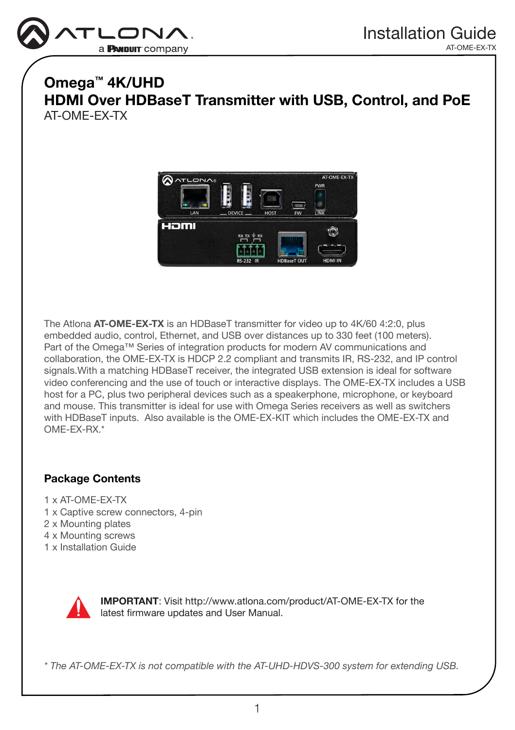

# Omega™ 4K/UHD HDMI Over HDBaseT Transmitter with USB, Control, and PoE AT-OME-EX-TX



The Atlona AT-OME-EX-TX is an HDBaseT transmitter for video up to 4K/60 4:2:0, plus embedded audio, control, Ethernet, and USB over distances up to 330 feet (100 meters). Part of the Omega™ Series of integration products for modern AV communications and collaboration, the OME-EX-TX is HDCP 2.2 compliant and transmits IR, RS-232, and IP control signals.With a matching HDBaseT receiver, the integrated USB extension is ideal for software video conferencing and the use of touch or interactive displays. The OME-EX-TX includes a USB host for a PC, plus two peripheral devices such as a speakerphone, microphone, or keyboard and mouse. This transmitter is ideal for use with Omega Series receivers as well as switchers with HDBaseT inputs. Also available is the OME-EX-KIT which includes the OME-EX-TX and OME-EX-RX.\*

### Package Contents

- 1 x AT-OME-EX-TX
- 1 x Captive screw connectors, 4-pin
- 2 x Mounting plates
- 4 x Mounting screws
- 1 x Installation Guide



IMPORTANT: Visit http://www.atlona.com/product/AT-OME-EX-TX for the latest firmware updates and User Manual.

*\* The AT-OME-EX-TX is not compatible with the AT-UHD-HDVS-300 system for extending USB.*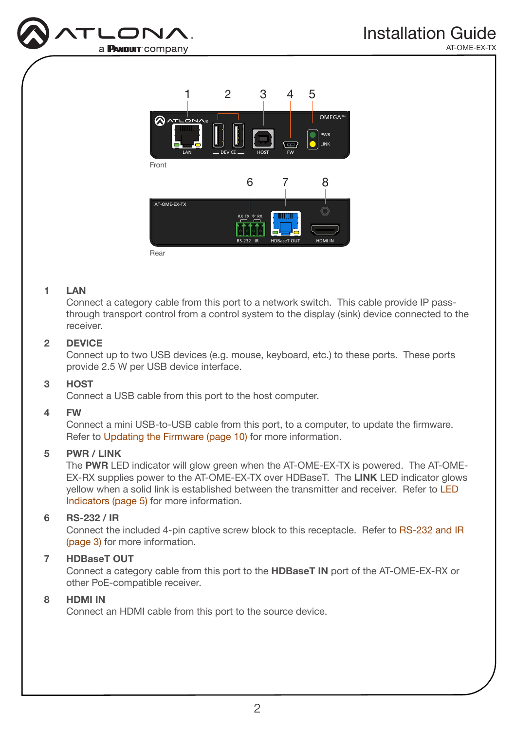

OMEGATM DEVICE

OMEGATM DEVICE

Front Rear HDMI IN AT-OME-EX-TX HDBaseT OUT RX TX T RX **RS-232** 6 7 8 LAN — DEVICE — HOST FW OMEGA<sup>T</sup> DEVICE PWR LINK AT-OME-EX-RX AT-OME-EX-RX AT-OME-EX-RX AT-OME-EX-RX AT-OME-EX-RX AT-OME-EX-RX AT-OME-EX-RX AT-OME-EX-RX A 1 2 3 4 5

#### 1 LAN

Connect a category cable from this port to a network switch. This cable provide IP passthrough transport control from a control system to the display (sink) device connected to the receiver.

#### 2 DEVICE

Connect up to two USB devices (e.g. mouse, keyboard, etc.) to these ports. These ports provide 2.5 W per USB device interface.

#### 3 HOST

Connect a USB cable from this port to the host computer.

#### 4 FW

Connect a mini USB-to-USB cable from this port, to a computer, to update the firmware. Refer to [Updating the Firmware \(page 10\)](#page-9-0) for more information.

#### 5 PWR / LINK

The PWR LED indicator will glow green when the AT-OME-EX-TX is powered. The AT-OME-EX-RX supplies power to the AT-OME-EX-TX over HDBaseT. The LINK LED indicator glows yellow when a solid link is established between the transmitter and receiver. Refer to LED [Indicators \(page 5\)](#page-4-0) for more information.

#### 6 RS-232 / IR

Connect the included 4-pin captive screw block to this receptacle. Refer to [RS-232 and IR](#page-2-0)  [\(page 3\)](#page-2-0) for more information.

#### 7 HDBaseT OUT

Connect a category cable from this port to the HDBaseT IN port of the AT-OME-EX-RX or other PoE-compatible receiver. LINK AT-OME-EX-RX

#### 8 HDMI IN

Connect an HDMI cable from this port to the source device.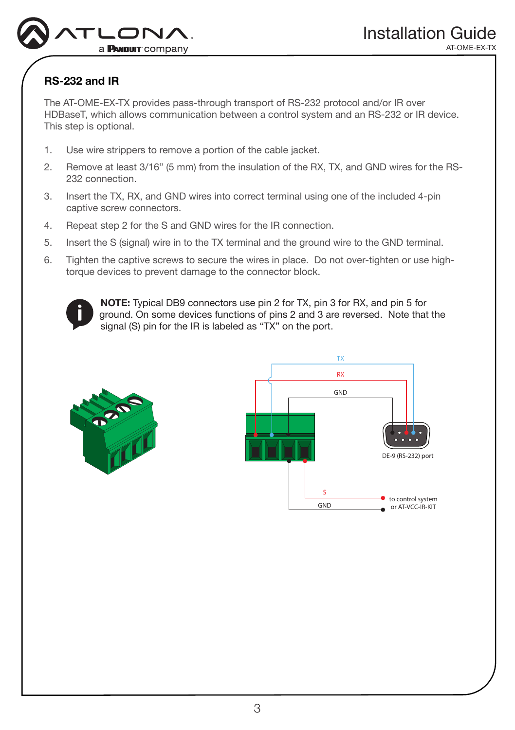

### <span id="page-2-0"></span>RS-232 and IR

The AT-OME-EX-TX provides pass-through transport of RS-232 protocol and/or IR over HDBaseT, which allows communication between a control system and an RS-232 or IR device. This step is optional.

- 1. Use wire strippers to remove a portion of the cable jacket.
- 2. Remove at least 3/16" (5 mm) from the insulation of the RX, TX, and GND wires for the RS-232 connection.
- 3. Insert the TX, RX, and GND wires into correct terminal using one of the included 4-pin captive screw connectors.
- 4. Repeat step 2 for the S and GND wires for the IR connection.
- 5. Insert the S (signal) wire in to the TX terminal and the ground wire to the GND terminal.
- 6. Tighten the captive screws to secure the wires in place. Do not over-tighten or use hightorque devices to prevent damage to the connector block.



NOTE: Typical DB9 connectors use pin 2 for TX, pin 3 for RX, and pin 5 for ground. On some devices functions of pins 2 and 3 are reversed. Note that the signal (S) pin for the IR is labeled as "TX" on the port.



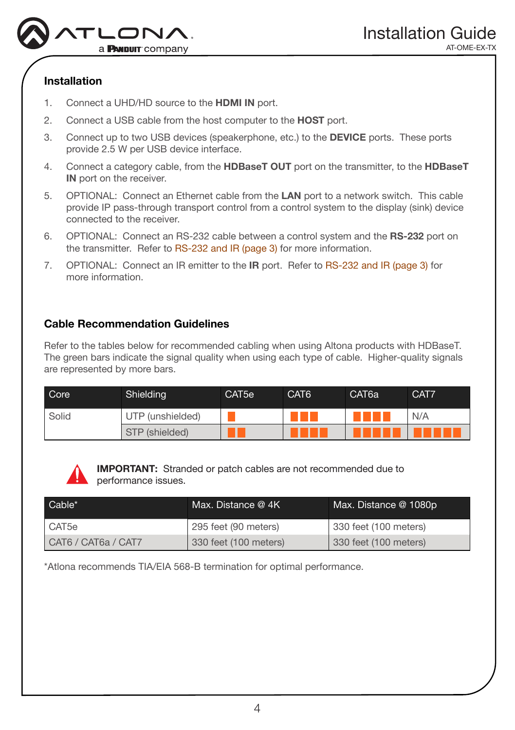

### Installation

- 1. Connect a UHD/HD source to the **HDMI IN** port.
- 2. Connect a USB cable from the host computer to the **HOST** port.
- 3. Connect up to two USB devices (speakerphone, etc.) to the DEVICE ports. These ports provide 2.5 W per USB device interface.
- 4. Connect a category cable, from the HDBaseT OUT port on the transmitter, to the HDBaseT IN port on the receiver.
- 5. OPTIONAL: Connect an Ethernet cable from the LAN port to a network switch. This cable provide IP pass-through transport control from a control system to the display (sink) device connected to the receiver.
- 6. OPTIONAL: Connect an RS-232 cable between a control system and the RS-232 port on the transmitter. Refer to [RS-232 and IR \(page 3\)](#page-2-0) for more information.
- 7. OPTIONAL: Connect an IR emitter to the IR port. Refer to [RS-232 and IR \(page 3\)](#page-2-0) for more information.

### Cable Recommendation Guidelines

Refer to the tables below for recommended cabling when using Altona products with HDBaseT. The green bars indicate the signal quality when using each type of cable. Higher-quality signals are represented by more bars.

| Core  | Shielding        | CAT <sub>5e</sub> | CAT6 | CAT6a | CAT7 |
|-------|------------------|-------------------|------|-------|------|
| Solid | JTP (unshielded) |                   |      |       | N/A  |
|       | STP (shielded)   |                   |      |       |      |

IMPORTANT: Stranded or patch cables are not recommended due to performance issues.

| Cable*              | Max. Distance @ 4K    | Max. Distance @ 1080p |
|---------------------|-----------------------|-----------------------|
| CAT5e               | 295 feet (90 meters)  | 330 feet (100 meters) |
| CAT6 / CAT6a / CAT7 | 330 feet (100 meters) | 330 feet (100 meters) |

\*Atlona recommends TIA/EIA 568-B termination for optimal performance.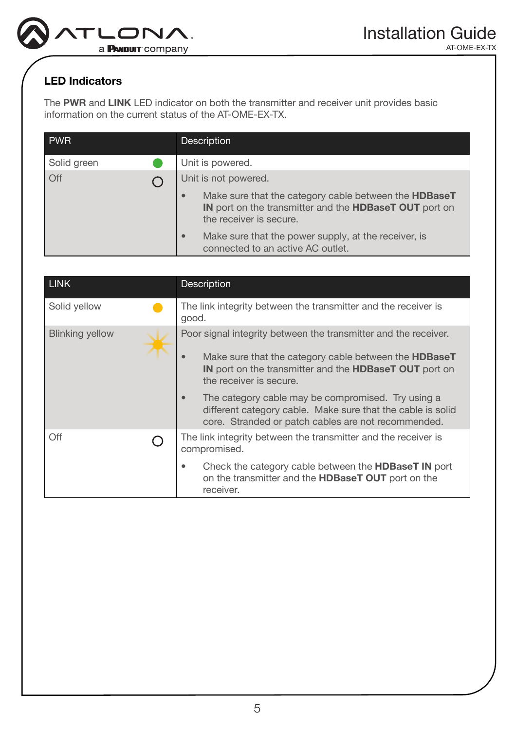

### <span id="page-4-0"></span>LED Indicators

The PWR and LINK LED indicator on both the transmitter and receiver unit provides basic information on the current status of the AT-OME-EX-TX.

| <b>PWR</b>  | <b>Description</b>                                                                                                                                             |  |
|-------------|----------------------------------------------------------------------------------------------------------------------------------------------------------------|--|
| Solid green | Unit is powered.                                                                                                                                               |  |
| Off         | Unit is not powered.                                                                                                                                           |  |
|             | Make sure that the category cable between the <b>HDBaseT</b><br>$\bullet$<br>IN port on the transmitter and the HDBaseT OUT port on<br>the receiver is secure. |  |
|             | Make sure that the power supply, at the receiver, is<br>$\bullet$<br>connected to an active AC outlet.                                                         |  |

| <b>LINK</b>            |  | <b>Description</b>                                                                                                                                                                                                                                                                                                                                            |  |
|------------------------|--|---------------------------------------------------------------------------------------------------------------------------------------------------------------------------------------------------------------------------------------------------------------------------------------------------------------------------------------------------------------|--|
| Solid yellow           |  | The link integrity between the transmitter and the receiver is<br>good.                                                                                                                                                                                                                                                                                       |  |
| <b>Blinking yellow</b> |  | Poor signal integrity between the transmitter and the receiver.<br>Make sure that the category cable between the <b>HDBaseT</b><br>$\bullet$<br>IN port on the transmitter and the <b>HDBaseT OUT</b> port on<br>the receiver is secure.<br>The category cable may be compromised. Try using a<br>different category cable. Make sure that the cable is solid |  |
|                        |  | core. Stranded or patch cables are not recommended.                                                                                                                                                                                                                                                                                                           |  |
| Off                    |  | The link integrity between the transmitter and the receiver is<br>compromised.                                                                                                                                                                                                                                                                                |  |
|                        |  | Check the category cable between the <b>HDBaseT IN</b> port<br>٠<br>on the transmitter and the HDBaseT OUT port on the<br>receiver.                                                                                                                                                                                                                           |  |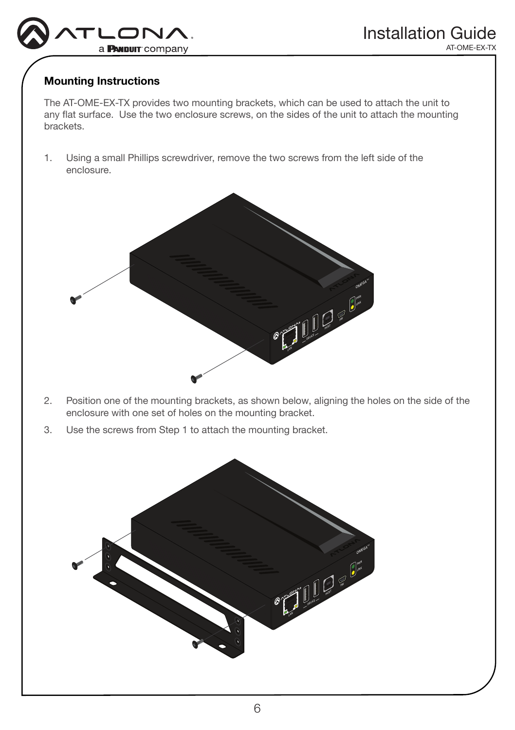

### Mounting Instructions

The AT-OME-EX-TX provides two mounting brackets, which can be used to attach the unit to any flat surface. Use the two enclosure screws, on the sides of the unit to attach the mounting brackets.

1. Using a small Phillips screwdriver, remove the two screws from the left side of the enclosure.



- 2. Position one of the mounting brackets, as shown below, aligning the holes on the side of the enclosure with one set of holes on the mounting bracket.
- 3. Use the screws from Step 1 to attach the mounting bracket.

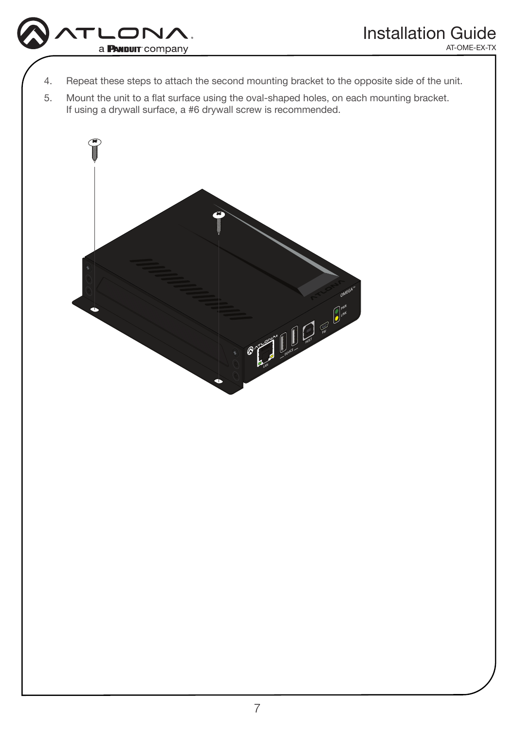- 4. Repeat these steps to attach the second mounting bracket to the opposite side of the unit.
- 5. Mount the unit to a flat surface using the oval-shaped holes, on each mounting bracket. If using a drywall surface, a #6 drywall screw is recommended.

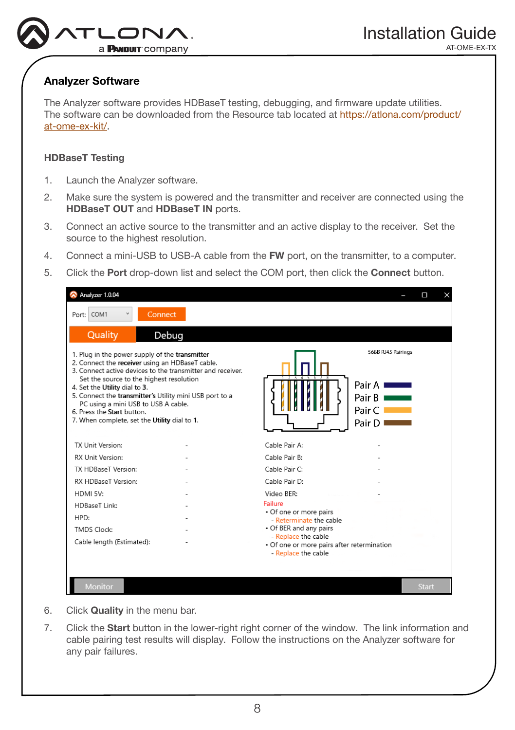

### Analyzer Software

The Analyzer software provides HDBaseT testing, debugging, and firmware update utilities. The software can be downloaded from the Resource tab located at [https://atlona.com/product/](https://atlona.com/product/at-ome-ex-kit/) [at-ome-ex-kit/](https://atlona.com/product/at-ome-ex-kit/).

#### HDBaseT Testing

- 1. Launch the Analyzer software.
- 2. Make sure the system is powered and the transmitter and receiver are connected using the HDBaseT OUT and HDBaseT IN ports.
- 3. Connect an active source to the transmitter and an active display to the receiver. Set the source to the highest resolution.
- 4. Connect a mini-USB to USB-A cable from the FW port, on the transmitter, to a computer.
- 5. Click the Port drop-down list and select the COM port, then click the Connect button.

| Analyzer 1.0.04                                                                                                                                                                                                                                                                                                                                                                                                              |         |                                                                                          |                                                                               | $\Box$       | $\times$ |
|------------------------------------------------------------------------------------------------------------------------------------------------------------------------------------------------------------------------------------------------------------------------------------------------------------------------------------------------------------------------------------------------------------------------------|---------|------------------------------------------------------------------------------------------|-------------------------------------------------------------------------------|--------------|----------|
| Port: COM1                                                                                                                                                                                                                                                                                                                                                                                                                   | Connect |                                                                                          |                                                                               |              |          |
| Quality                                                                                                                                                                                                                                                                                                                                                                                                                      | Debug   |                                                                                          |                                                                               |              |          |
| 1. Plug in the power supply of the transmitter<br>2. Connect the receiver using an HDBaseT cable.<br>3. Connect active devices to the transmitter and receiver.<br>Set the source to the highest resolution<br>4. Set the Utility dial to 3.<br>5. Connect the transmitter's Utility mini USB port to a<br>PC using a mini USB to USB A cable.<br>6. Press the Start button.<br>7. When complete, set the Utility dial to 1. |         |                                                                                          | 568B RJ45 Pairings<br>Pair A<br>and the state<br>Pair B<br>Pair C<br>Pair D I |              |          |
| TX Unit Version:                                                                                                                                                                                                                                                                                                                                                                                                             |         | Cable Pair A:                                                                            |                                                                               |              |          |
| RX Unit Version:                                                                                                                                                                                                                                                                                                                                                                                                             |         | Cable Pair B:                                                                            |                                                                               |              |          |
| TX HDBaseT Version:                                                                                                                                                                                                                                                                                                                                                                                                          |         | Cable Pair C:                                                                            |                                                                               |              |          |
| RX HDBaseT Version:                                                                                                                                                                                                                                                                                                                                                                                                          |         | Cable Pair D:                                                                            |                                                                               |              |          |
| HDMI 5V:                                                                                                                                                                                                                                                                                                                                                                                                                     |         | Video BER:                                                                               |                                                                               |              |          |
| HDBaseT Link:                                                                                                                                                                                                                                                                                                                                                                                                                |         | Failure                                                                                  |                                                                               |              |          |
| HPD:                                                                                                                                                                                                                                                                                                                                                                                                                         |         | • Of one or more pairs<br>- Reterminate the cable                                        |                                                                               |              |          |
| <b>TMDS Clock:</b>                                                                                                                                                                                                                                                                                                                                                                                                           |         | • Of BER and any pairs                                                                   |                                                                               |              |          |
| Cable length (Estimated):                                                                                                                                                                                                                                                                                                                                                                                                    |         | - Replace the cable<br>· Of one or more pairs after retermination<br>- Replace the cable |                                                                               |              |          |
| Monitor                                                                                                                                                                                                                                                                                                                                                                                                                      |         |                                                                                          |                                                                               | <b>Start</b> |          |

- 6. Click Quality in the menu bar.
- 7. Click the Start button in the lower-right right corner of the window. The link information and cable pairing test results will display. Follow the instructions on the Analyzer software for any pair failures.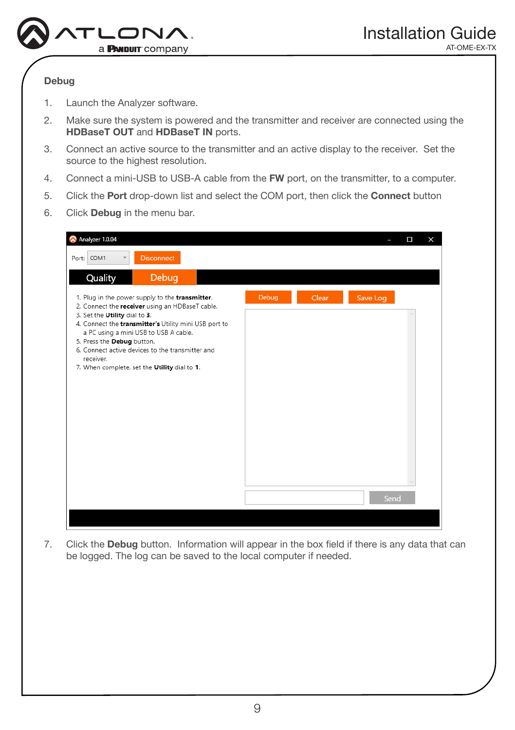

#### Debug

- 1. Launch the Analyzer software.
- 2. Make sure the system is powered and the transmitter and receiver are connected using the HDBaseT OUT and HDBaseT IN ports.
- 3. Connect an active source to the transmitter and an active display to the receiver. Set the source to the highest resolution.
- 4. Connect a mini-USB to USB-A cable from the FW port, on the transmitter, to a computer.
- 5. Click the Port drop-down list and select the COM port, then click the Connect button
- 6. Click Debug in the menu bar.

| <b>Disconnect</b><br>COM1<br>Port:                                                                                                                                                                                                                                                                                                                                                                                         |  |
|----------------------------------------------------------------------------------------------------------------------------------------------------------------------------------------------------------------------------------------------------------------------------------------------------------------------------------------------------------------------------------------------------------------------------|--|
|                                                                                                                                                                                                                                                                                                                                                                                                                            |  |
| Quality<br>Debug                                                                                                                                                                                                                                                                                                                                                                                                           |  |
| Save Log<br>1. Plug in the power supply to the transmitter.<br>Debug<br>Clear<br>2. Connect the receiver using an HDBaseT cable.<br>3. Set the Utility dial to 3.<br>4. Connect the transmitter's Utility mini USB port to<br>a PC using a mini USB to USB A cable.<br>5. Press the Debug button.<br>6. Connect active devices to the transmitter and<br>receiver.<br>7. When complete, set the Utility dial to 1.<br>Send |  |
|                                                                                                                                                                                                                                                                                                                                                                                                                            |  |

7. Click the Debug button. Information will appear in the box field if there is any data that can be logged. The log can be saved to the local computer if needed.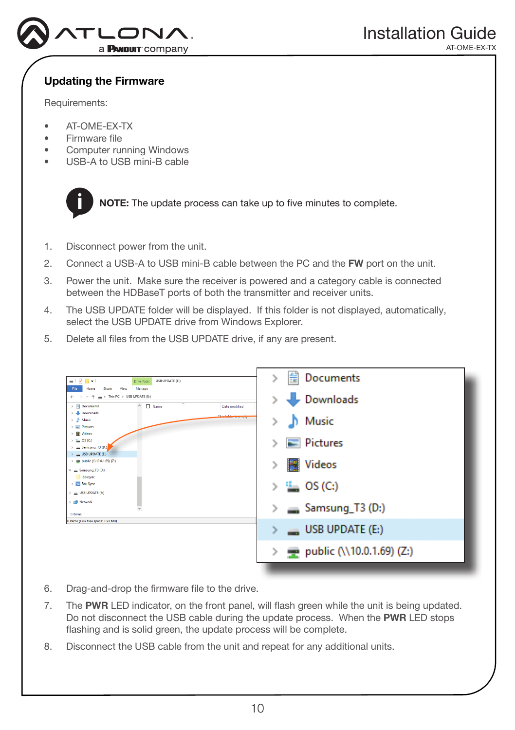

### <span id="page-9-0"></span>Updating the Firmware

Requirements:

- AT-OME-EX-TX
- Firmware file
- Computer running Windows
- USB-A to USB mini-B cable

NOTE: The update process can take up to five minutes to complete.

- 1. Disconnect power from the unit.
- 2. Connect a USB-A to USB mini-B cable between the PC and the FW port on the unit.
- 3. Power the unit. Make sure the receiver is powered and a category cable is connected between the HDBaseT ports of both the transmitter and receiver units.
- 4. The USB UPDATE folder will be displayed. If this folder is not displayed, automatically, select the USB UPDATE drive from Windows Explorer.
- 5. Delete all files from the USB UPDATE drive, if any are present.

| $\blacksquare \blacksquare \triangleright \blacksquare \triangleright \blacksquare$<br>USB UPDATE (E:)<br>Drive Tools                              | 訾<br>Documents                 |
|----------------------------------------------------------------------------------------------------------------------------------------------------|--------------------------------|
| Manage<br>Share<br>View<br>File<br>Home<br>$\leftarrow$ $\rightarrow$ $\vee$ $\uparrow$ $\rightleftharpoons$ This PC $\rightarrow$ USB UPDATE (E:) | Downloads                      |
| $> 10$ Documents<br>$\hat{\phantom{a}}$<br>Name<br>Date modified<br>$\rightarrow$ Downloads<br>This folder is empty.                               |                                |
| $>$ $\Delta$ Music<br>$>$ $\equiv$ Pictures<br>$> 1$ Videos                                                                                        | Music                          |
| $\rightarrow \Box$ OS (C:)<br>$\rightarrow$ = Samsung_T3 (D:)                                                                                      | Pictures<br>⋟                  |
| $\rightarrow$ = USB UPDATE (E)<br>> = public (\\10.0.1.69) (Z:)<br>$\vee$ = Samsung_T3 (D:)                                                        | Videos                         |
| .boxsync<br>> <b>Box Sync</b>                                                                                                                      |                                |
| USB UPDATE (E)                                                                                                                                     | $\frac{1}{2}$ OS (C:)<br>⋟     |
| Network<br>0 items                                                                                                                                 | Samsung_T3 (D:)                |
| 0 items (Disk free space: 1.93 MB)                                                                                                                 | $\Box$ USB UPDATE (E:)         |
|                                                                                                                                                    | public (\\10.0.1.69) (Z:)<br>⋋ |
|                                                                                                                                                    |                                |

- 6. Drag-and-drop the firmware file to the drive.
- 7. The PWR LED indicator, on the front panel, will flash green while the unit is being updated. Do not disconnect the USB cable during the update process. When the **PWR** LED stops flashing and is solid green, the update process will be complete.
- 8. Disconnect the USB cable from the unit and repeat for any additional units.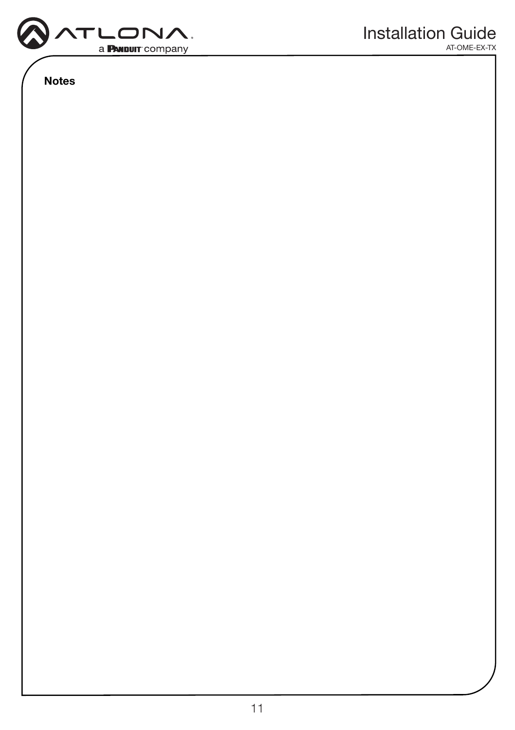

Notes